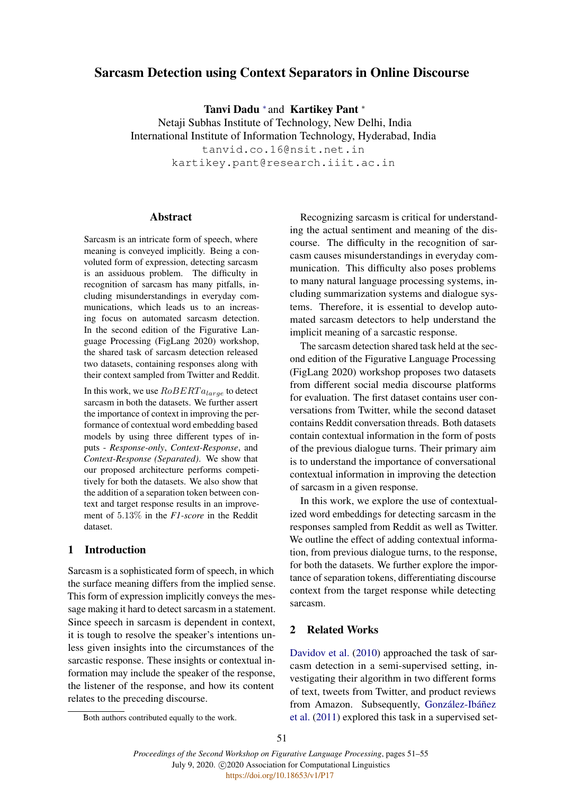# Sarcasm Detection using Context Separators in Online Discourse

Tanvi Dadu <sup>\*</sup> and Kartikey Pant \*

Netaji Subhas Institute of Technology, New Delhi, India International Institute of Information Technology, Hyderabad, India tanvid.co.16@nsit.net.in kartikey.pant@research.iiit.ac.in

## Abstract

Sarcasm is an intricate form of speech, where meaning is conveyed implicitly. Being a convoluted form of expression, detecting sarcasm is an assiduous problem. The difficulty in recognition of sarcasm has many pitfalls, including misunderstandings in everyday communications, which leads us to an increasing focus on automated sarcasm detection. In the second edition of the Figurative Language Processing (FigLang 2020) workshop, the shared task of sarcasm detection released two datasets, containing responses along with their context sampled from Twitter and Reddit.

In this work, we use  $RoBERTa_{large}$  to detect sarcasm in both the datasets. We further assert the importance of context in improving the performance of contextual word embedding based models by using three different types of inputs - *Response-only*, *Context-Response*, and *Context-Response (Separated)*. We show that our proposed architecture performs competitively for both the datasets. We also show that the addition of a separation token between context and target response results in an improvement of 5.13% in the *F1-score* in the Reddit dataset.

## 1 Introduction

Sarcasm is a sophisticated form of speech, in which the surface meaning differs from the implied sense. This form of expression implicitly conveys the message making it hard to detect sarcasm in a statement. Since speech in sarcasm is dependent in context, it is tough to resolve the speaker's intentions unless given insights into the circumstances of the sarcastic response. These insights or contextual information may include the speaker of the response, the listener of the response, and how its content relates to the preceding discourse.

Recognizing sarcasm is critical for understanding the actual sentiment and meaning of the discourse. The difficulty in the recognition of sarcasm causes misunderstandings in everyday communication. This difficulty also poses problems to many natural language processing systems, including summarization systems and dialogue systems. Therefore, it is essential to develop automated sarcasm detectors to help understand the implicit meaning of a sarcastic response.

The sarcasm detection shared task held at the second edition of the Figurative Language Processing (FigLang 2020) workshop proposes two datasets from different social media discourse platforms for evaluation. The first dataset contains user conversations from Twitter, while the second dataset contains Reddit conversation threads. Both datasets contain contextual information in the form of posts of the previous dialogue turns. Their primary aim is to understand the importance of conversational contextual information in improving the detection of sarcasm in a given response.

In this work, we explore the use of contextualized word embeddings for detecting sarcasm in the responses sampled from Reddit as well as Twitter. We outline the effect of adding contextual information, from previous dialogue turns, to the response, for both the datasets. We further explore the importance of separation tokens, differentiating discourse context from the target response while detecting sarcasm.

## 2 Related Works

[Davidov et al.](#page-3-0) [\(2010\)](#page-3-0) approached the task of sarcasm detection in a semi-supervised setting, investigating their algorithm in two different forms of text, tweets from Twitter, and product reviews from Amazon. Subsequently, González-Ibáñez [et al.](#page-3-1) [\(2011\)](#page-3-1) explored this task in a supervised set-

Both authors contributed equally to the work.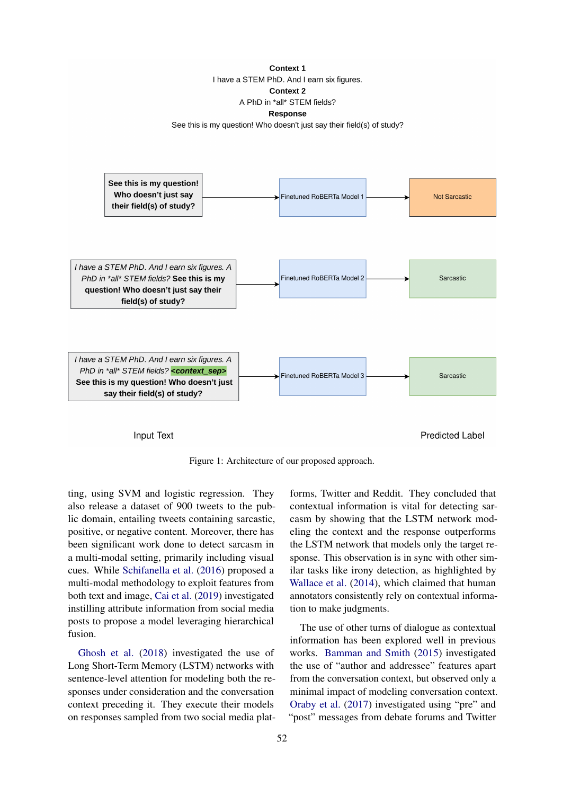#### Context 1

I have a STEM PhD. And I earn six figures.

**Context 2** 

A PhD in \*all\* STEM fields?

#### **Response**

See this is my question! Who doesn't just say their field(s) of study?



Input Text

**Predicted Label** 

Figure 1: Architecture of our proposed approach.

ting, using SVM and logistic regression. They also release a dataset of 900 tweets to the public domain, entailing tweets containing sarcastic, positive, or negative content. Moreover, there has been significant work done to detect sarcasm in a multi-modal setting, primarily including visual cues. While [Schifanella et al.](#page-4-0) [\(2016\)](#page-4-0) proposed a multi-modal methodology to exploit features from both text and image, [Cai et al.](#page-3-2) [\(2019\)](#page-3-2) investigated instilling attribute information from social media posts to propose a model leveraging hierarchical fusion.

[Ghosh et al.](#page-3-3) [\(2018\)](#page-3-3) investigated the use of Long Short-Term Memory (LSTM) networks with sentence-level attention for modeling both the responses under consideration and the conversation context preceding it. They execute their models on responses sampled from two social media plat-

forms, Twitter and Reddit. They concluded that contextual information is vital for detecting sarcasm by showing that the LSTM network modeling the context and the response outperforms the LSTM network that models only the target response. This observation is in sync with other similar tasks like irony detection, as highlighted by [Wallace et al.](#page-4-1) [\(2014\)](#page-4-1), which claimed that human annotators consistently rely on contextual information to make judgments.

The use of other turns of dialogue as contextual information has been explored well in previous works. [Bamman and Smith](#page-3-4) [\(2015\)](#page-3-4) investigated the use of "author and addressee" features apart from the conversation context, but observed only a minimal impact of modeling conversation context. [Oraby et al.](#page-4-2) [\(2017\)](#page-4-2) investigated using "pre" and "post" messages from debate forums and Twitter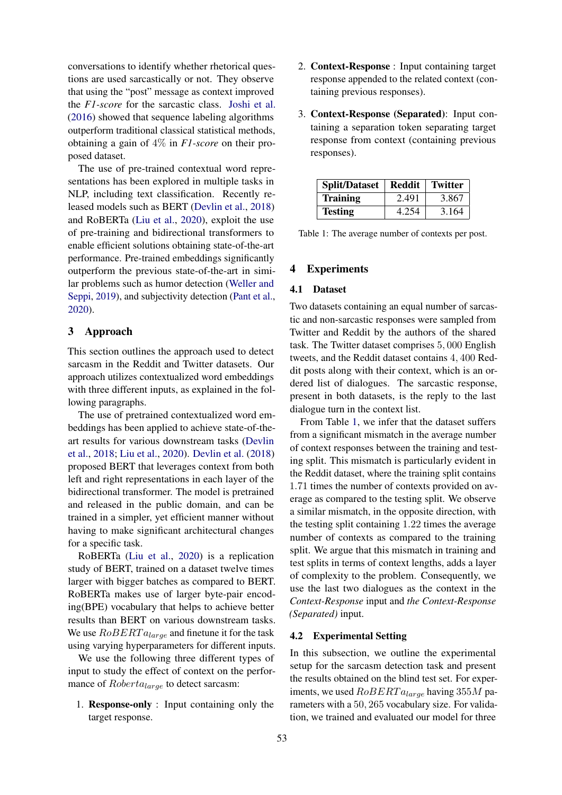conversations to identify whether rhetorical questions are used sarcastically or not. They observe that using the "post" message as context improved the *F1-score* for the sarcastic class. [Joshi et al.](#page-3-5) [\(2016\)](#page-3-5) showed that sequence labeling algorithms outperform traditional classical statistical methods, obtaining a gain of 4% in *F1-score* on their proposed dataset.

The use of pre-trained contextual word representations has been explored in multiple tasks in NLP, including text classification. Recently released models such as BERT [\(Devlin et al.,](#page-3-6) [2018\)](#page-3-6) and RoBERTa [\(Liu et al.,](#page-4-3) [2020\)](#page-4-3), exploit the use of pre-training and bidirectional transformers to enable efficient solutions obtaining state-of-the-art performance. Pre-trained embeddings significantly outperform the previous state-of-the-art in similar problems such as humor detection [\(Weller and](#page-4-4) [Seppi,](#page-4-4) [2019\)](#page-4-4), and subjectivity detection [\(Pant et al.,](#page-4-5) [2020\)](#page-4-5).

## 3 Approach

This section outlines the approach used to detect sarcasm in the Reddit and Twitter datasets. Our approach utilizes contextualized word embeddings with three different inputs, as explained in the following paragraphs.

The use of pretrained contextualized word embeddings has been applied to achieve state-of-theart results for various downstream tasks [\(Devlin](#page-3-6) [et al.,](#page-3-6) [2018;](#page-3-6) [Liu et al.,](#page-4-3) [2020\)](#page-4-3). [Devlin et al.](#page-3-6) [\(2018\)](#page-3-6) proposed BERT that leverages context from both left and right representations in each layer of the bidirectional transformer. The model is pretrained and released in the public domain, and can be trained in a simpler, yet efficient manner without having to make significant architectural changes for a specific task.

RoBERTa [\(Liu et al.,](#page-4-3) [2020\)](#page-4-3) is a replication study of BERT, trained on a dataset twelve times larger with bigger batches as compared to BERT. RoBERTa makes use of larger byte-pair encoding(BPE) vocabulary that helps to achieve better results than BERT on various downstream tasks. We use  $RoBERTa_{large}$  and finetune it for the task using varying hyperparameters for different inputs.

We use the following three different types of input to study the effect of context on the performance of  $Roberta_{large}$  to detect sarcasm:

1. Response-only : Input containing only the target response.

- 2. Context-Response : Input containing target response appended to the related context (containing previous responses).
- 3. Context-Response (Separated): Input containing a separation token separating target response from context (containing previous responses).

<span id="page-2-0"></span>

| <b>Split/Dataset</b> | <b>Reddit</b> | Twitter |
|----------------------|---------------|---------|
| <b>Training</b>      | 2.491         | 3.867   |
| <b>Testing</b>       | 4.254         | 3.164   |

Table 1: The average number of contexts per post.

#### 4 Experiments

#### 4.1 Dataset

Two datasets containing an equal number of sarcastic and non-sarcastic responses were sampled from Twitter and Reddit by the authors of the shared task. The Twitter dataset comprises 5, 000 English tweets, and the Reddit dataset contains 4, 400 Reddit posts along with their context, which is an ordered list of dialogues. The sarcastic response, present in both datasets, is the reply to the last dialogue turn in the context list.

From Table [1,](#page-2-0) we infer that the dataset suffers from a significant mismatch in the average number of context responses between the training and testing split. This mismatch is particularly evident in the Reddit dataset, where the training split contains 1.71 times the number of contexts provided on average as compared to the testing split. We observe a similar mismatch, in the opposite direction, with the testing split containing 1.22 times the average number of contexts as compared to the training split. We argue that this mismatch in training and test splits in terms of context lengths, adds a layer of complexity to the problem. Consequently, we use the last two dialogues as the context in the *Context-Response* input and *the Context-Response (Separated)* input.

## 4.2 Experimental Setting

In this subsection, we outline the experimental setup for the sarcasm detection task and present the results obtained on the blind test set. For experiments, we used  $RoBERTa_{large}$  having 355M parameters with a 50, 265 vocabulary size. For validation, we trained and evaluated our model for three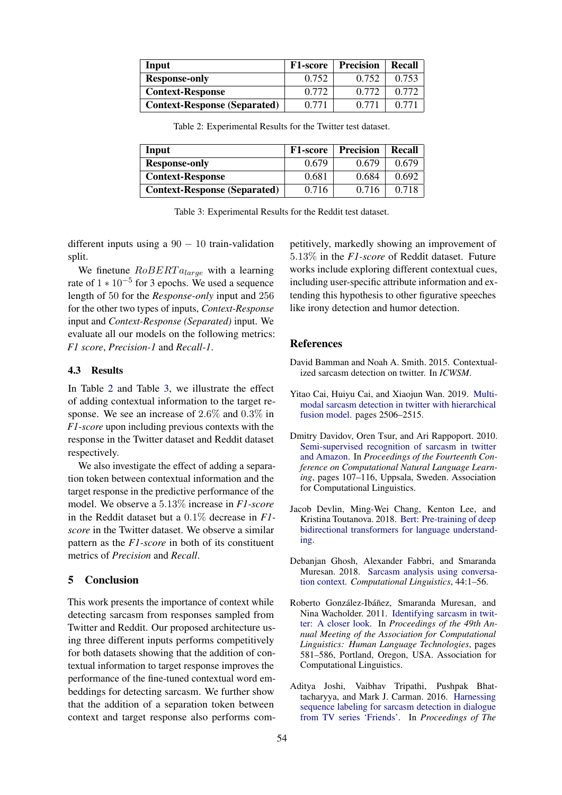<span id="page-3-7"></span>

| Input                               | <b>F1-score</b> | Precision | Recall |
|-------------------------------------|-----------------|-----------|--------|
| <b>Response-only</b>                | 0.752           | 0.752     | 0.753  |
| <b>Context-Response</b>             | 0.772           | 0.772     | 0.772  |
| <b>Context-Response (Separated)</b> | 0.771           | 0.771     | 0.771  |

Table 2: Experimental Results for the Twitter test dataset.

<span id="page-3-8"></span>

| Input                               | <b>F1-score</b> | <b>Precision</b> | Recall |
|-------------------------------------|-----------------|------------------|--------|
| <b>Response-only</b>                | 0.679           | 0.679            | 0.679  |
| <b>Context-Response</b>             | 0.681           | 0.684            | 0.692  |
| <b>Context-Response (Separated)</b> | 0.716           | 0.716            | 0.718  |

Table 3: Experimental Results for the Reddit test dataset.

different inputs using a  $90 - 10$  train-validation split.

We finetune  $RoBERTa_{large}$  with a learning rate of  $1 * 10^{-5}$  for 3 epochs. We used a sequence length of 50 for the *Response-only* input and 256 for the other two types of inputs, *Context-Response* input and *Context-Response (Separated)* input. We evaluate all our models on the following metrics: *F1 score*, *Precision-1* and *Recall-1*.

### 4.3 Results

In Table [2](#page-3-7) and Table [3,](#page-3-8) we illustrate the effect of adding contextual information to the target response. We see an increase of 2.6% and 0.3% in *F1-score* upon including previous contexts with the response in the Twitter dataset and Reddit dataset respectively.

We also investigate the effect of adding a separation token between contextual information and the target response in the predictive performance of the model. We observe a 5.13% increase in *F1-score* in the Reddit dataset but a 0.1% decrease in *F1 score* in the Twitter dataset. We observe a similar pattern as the *F1-score* in both of its constituent metrics of *Precision* and *Recall*.

### 5 Conclusion

This work presents the importance of context while detecting sarcasm from responses sampled from Twitter and Reddit. Our proposed architecture using three different inputs performs competitively for both datasets showing that the addition of contextual information to target response improves the performance of the fine-tuned contextual word embeddings for detecting sarcasm. We further show that the addition of a separation token between context and target response also performs competitively, markedly showing an improvement of 5.13% in the *F1-score* of Reddit dataset. Future works include exploring different contextual cues, including user-specific attribute information and extending this hypothesis to other figurative speeches like irony detection and humor detection.

## References

- <span id="page-3-4"></span>David Bamman and Noah A. Smith. 2015. Contextualized sarcasm detection on twitter. In *ICWSM*.
- <span id="page-3-2"></span>Yitao Cai, Huiyu Cai, and Xiaojun Wan. 2019. [Multi](https://doi.org/10.18653/v1/P19-1239)[modal sarcasm detection in twitter with hierarchical](https://doi.org/10.18653/v1/P19-1239) [fusion model.](https://doi.org/10.18653/v1/P19-1239) pages 2506–2515.
- <span id="page-3-0"></span>Dmitry Davidov, Oren Tsur, and Ari Rappoport. 2010. [Semi-supervised recognition of sarcasm in twitter](https://www.aclweb.org/anthology/W10-2914) [and Amazon.](https://www.aclweb.org/anthology/W10-2914) In *Proceedings of the Fourteenth Conference on Computational Natural Language Learning*, pages 107–116, Uppsala, Sweden. Association for Computational Linguistics.
- <span id="page-3-6"></span>Jacob Devlin, Ming-Wei Chang, Kenton Lee, and Kristina Toutanova. 2018. [Bert: Pre-training of deep](http://arxiv.org/abs/1810.04805) [bidirectional transformers for language understand](http://arxiv.org/abs/1810.04805)[ing.](http://arxiv.org/abs/1810.04805)
- <span id="page-3-3"></span>Debanjan Ghosh, Alexander Fabbri, and Smaranda Muresan. 2018. [Sarcasm analysis using conversa](https://doi.org/10.1162/coli_a_00336)[tion context.](https://doi.org/10.1162/coli_a_00336) *Computational Linguistics*, 44:1–56.
- <span id="page-3-1"></span>Roberto González-Ibáñez, Smaranda Muresan, and Nina Wacholder. 2011. [Identifying sarcasm in twit](https://www.aclweb.org/anthology/P11-2102)[ter: A closer look.](https://www.aclweb.org/anthology/P11-2102) In *Proceedings of the 49th Annual Meeting of the Association for Computational Linguistics: Human Language Technologies*, pages 581–586, Portland, Oregon, USA. Association for Computational Linguistics.
- <span id="page-3-5"></span>Aditya Joshi, Vaibhav Tripathi, Pushpak Bhattacharyya, and Mark J. Carman. 2016. [Harnessing](https://doi.org/10.18653/v1/K16-1015) [sequence labeling for sarcasm detection in dialogue](https://doi.org/10.18653/v1/K16-1015) [from TV series 'Friends'.](https://doi.org/10.18653/v1/K16-1015) In *Proceedings of The*